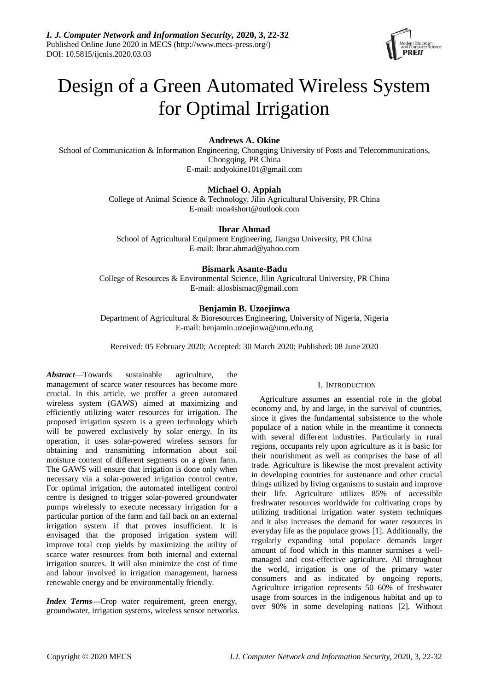

# Design of a Green Automated Wireless System for Optimal Irrigation

## **Andrews A. Okine**

School of Communication & Information Engineering, Chongqing University of Posts and Telecommunications, Chongqing, PR China E-mail: andyokine101@gmail.com

## **Michael O. Appiah**

College of Animal Science & Technology, Jilin Agricultural University, PR China E-mail: moa4short@outlook.com

**Ibrar Ahmad**

School of Agricultural Equipment Engineering, Jiangsu University, PR China E-mail: Ibrar.ahmad@yahoo.com

## **Bismark Asante-Badu**

College of Resources & Environmental Science, Jilin Agricultural University, PR China E-mail: allosbismac@gmail.com

## **Benjamin B. Uzoejinwa**

Department of Agricultural & Bioresources Engineering, University of Nigeria, Nigeria E-mail: benjamin.uzoejinwa@unn.edu.ng

Received: 05 February 2020; Accepted: 30 March 2020; Published: 08 June 2020

*Abstract*—Towards sustainable agriculture, the management of scarce water resources has become more crucial. In this article, we proffer a green automated wireless system (GAWS) aimed at maximizing and efficiently utilizing water resources for irrigation. The proposed irrigation system is a green technology which will be powered exclusively by solar energy. In its operation, it uses solar-powered wireless sensors for obtaining and transmitting information about soil moisture content of different segments on a given farm. The GAWS will ensure that irrigation is done only when necessary via a solar-powered irrigation control centre. For optimal irrigation, the automated intelligent control centre is designed to trigger solar-powered groundwater pumps wirelessly to execute necessary irrigation for a particular portion of the farm and fall back on an external irrigation system if that proves insufficient. It is envisaged that the proposed irrigation system will improve total crop yields by maximizing the utility of scarce water resources from both internal and external irrigation sources. It will also minimize the cost of time and labour involved in irrigation management, harness renewable energy and be environmentally friendly.

*Index Terms***—**Crop water requirement, green energy, groundwater, irrigation systems, wireless sensor networks.

### I. INTRODUCTION

Agriculture assumes an essential role in the global economy and, by and large, in the survival of countries, since it gives the fundamental subsistence to the whole populace of a nation while in the meantime it connects with several different industries. Particularly in rural regions, occupants rely upon agriculture as it is basic for their nourishment as well as comprises the base of all trade. Agriculture is likewise the most prevalent activity in developing countries for sustenance and other crucial things utilized by living organisms to sustain and improve their life. Agriculture utilizes 85% of accessible freshwater resources worldwide for cultivating crops by utilizing traditional irrigation water system techniques and it also increases the demand for water resources in everyday life as the populace grows [1]. Additionally, the regularly expanding total populace demands larger amount of food which in this manner surmises a wellmanaged and cost-effective agriculture. All throughout the world, irrigation is one of the primary water consumers and as indicated by ongoing reports, Agriculture irrigation represents 50–60% of freshwater usage from sources in the indigenous habitat and up to over 90% in some developing nations [2]. Without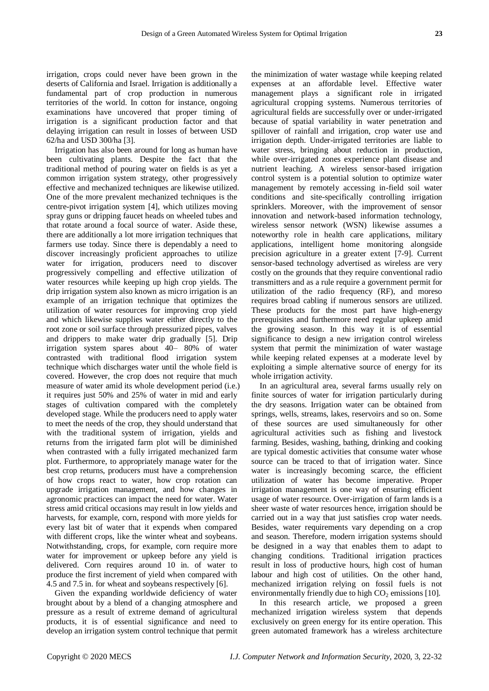irrigation, crops could never have been grown in the deserts of California and Israel. Irrigation is additionally a fundamental part of crop production in numerous territories of the world. In cotton for instance, ongoing examinations have uncovered that proper timing of irrigation is a significant production factor and that delaying irrigation can result in losses of between USD 62/ha and USD 300/ha [3].

Irrigation has also been around for long as human have been cultivating plants. Despite the fact that the traditional method of pouring water on fields is as yet a common irrigation system strategy, other progressively effective and mechanized techniques are likewise utilized. One of the more prevalent mechanized techniques is the centre-pivot irrigation system [4], which utilizes moving spray guns or dripping faucet heads on wheeled tubes and that rotate around a focal source of water. Aside these, there are additionally a lot more irrigation techniques that farmers use today. Since there is dependably a need to discover increasingly proficient approaches to utilize water for irrigation, producers need to discover progressively compelling and effective utilization of water resources while keeping up high crop yields. The drip irrigation system also known as micro irrigation is an example of an irrigation technique that optimizes the utilization of water resources for improving crop yield and which likewise supplies water either directly to the root zone or soil surface through pressurized pipes, valves and drippers to make water drip gradually [5]. Drip irrigation system spares about 40– 80% of water contrasted with traditional flood irrigation system technique which discharges water until the whole field is covered. However, the crop does not require that much measure of water amid its whole development period (i.e.) it requires just 50% and 25% of water in mid and early stages of cultivation compared with the completely developed stage. While the producers need to apply water to meet the needs of the crop, they should understand that with the traditional system of irrigation, yields and returns from the irrigated farm plot will be diminished when contrasted with a fully irrigated mechanized farm plot. Furthermore, to appropriately manage water for the best crop returns, producers must have a comprehension of how crops react to water, how crop rotation can upgrade irrigation management, and how changes in agronomic practices can impact the need for water. Water stress amid critical occasions may result in low yields and harvests, for example, corn, respond with more yields for every last bit of water that it expends when compared with different crops, like the winter wheat and soybeans. Notwithstanding, crops, for example, corn require more water for improvement or upkeep before any yield is delivered. Corn requires around 10 in. of water to produce the first increment of yield when compared with 4.5 and 7.5 in. for wheat and soybeans respectively [6].

Given the expanding worldwide deficiency of water brought about by a blend of a changing atmosphere and pressure as a result of extreme demand of agricultural products, it is of essential significance and need to develop an irrigation system control technique that permit the minimization of water wastage while keeping related expenses at an affordable level. Effective water management plays a significant role in irrigated agricultural cropping systems. Numerous territories of agricultural fields are successfully over or under-irrigated because of spatial variability in water penetration and spillover of rainfall and irrigation, crop water use and irrigation depth. Under-irrigated territories are liable to water stress, bringing about reduction in production, while over-irrigated zones experience plant disease and nutrient leaching. A wireless sensor-based irrigation control system is a potential solution to optimize water management by remotely accessing in-field soil water conditions and site-specifically controlling irrigation sprinklers. Moreover, with the improvement of sensor innovation and network-based information technology, wireless sensor network (WSN) likewise assumes a noteworthy role in health care applications, military applications, intelligent home monitoring alongside precision agriculture in a greater extent [7-9]. Current sensor-based technology advertised as wireless are very costly on the grounds that they require conventional radio transmitters and as a rule require a government permit for utilization of the radio frequency (RF), and moreso requires broad cabling if numerous sensors are utilized. These products for the most part have high-energy prerequisites and furthermore need regular upkeep amid the growing season. In this way it is of essential significance to design a new irrigation control wireless system that permit the minimization of water wastage while keeping related expenses at a moderate level by exploiting a simple alternative source of energy for its whole irrigation activity.

In an agricultural area, several farms usually rely on finite sources of water for irrigation particularly during the dry seasons. Irrigation water can be obtained from springs, wells, streams, lakes, reservoirs and so on. Some of these sources are used simultaneously for other agricultural activities such as fishing and livestock farming. Besides, washing, bathing, drinking and cooking are typical domestic activities that consume water whose source can be traced to that of irrigation water. Since water is increasingly becoming scarce, the efficient utilization of water has become imperative. Proper irrigation management is one way of ensuring efficient usage of water resource. Over-irrigation of farm lands is a sheer waste of water resources hence, irrigation should be carried out in a way that just satisfies crop water needs. Besides, water requirements vary depending on a crop and season. Therefore, modern irrigation systems should be designed in a way that enables them to adapt to changing conditions. Traditional irrigation practices result in loss of productive hours, high cost of human labour and high cost of utilities. On the other hand, mechanized irrigation relying on fossil fuels is not environmentally friendly due to high  $CO<sub>2</sub>$  emissions [10].

In this research article, we proposed a green mechanized irrigation wireless system that depends exclusively on green energy for its entire operation. This green automated framework has a wireless architecture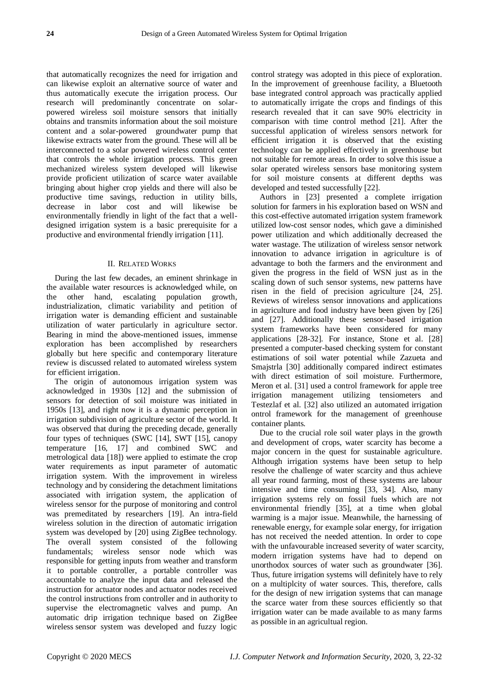that automatically recognizes the need for irrigation and can likewise exploit an alternative source of water and thus automatically execute the irrigation process. Our research will predominantly concentrate on solarpowered wireless soil moisture sensors that initially obtains and transmits information about the soil moisture content and a solar-powered groundwater pump that likewise extracts water from the ground. These will all be interconnected to a solar powered wireless control center that controls the whole irrigation process. This green mechanized wireless system developed will likewise provide proficient utilization of scarce water available bringing about higher crop yields and there will also be productive time savings, reduction in utility bills, decrease in labor cost and will likewise be environmentally friendly in light of the fact that a welldesigned irrigation system is a basic prerequisite for a productive and environmental friendly irrigation [11].

#### II. RELATED WORKS

During the last few decades, an eminent shrinkage in the available water resources is acknowledged while, on the other hand, escalating population growth, industrialization, climatic variability and petition of irrigation water is demanding efficient and sustainable utilization of water particularly in agriculture sector. Bearing in mind the above-mentioned issues, immense exploration has been accomplished by researchers globally but here specific and contemporary literature review is discussed related to automated wireless system for efficient irrigation.

The origin of autonomous irrigation system was acknowledged in 1930s [12] and the submission of sensors for detection of soil moisture was initiated in 1950s [13], and right now it is a dynamic perception in irrigation subdivision of agriculture sector of the world. It was observed that during the preceding decade, generally four types of techniques (SWC [14], SWT [15], canopy temperature [16, 17] and combined SWC and metrological data [18]) were applied to estimate the crop water requirements as input parameter of automatic irrigation system. With the improvement in wireless technology and by considering the detachment limitations associated with irrigation system, the application of wireless sensor for the purpose of monitoring and control was premeditated by researchers [19]. An intra-field wireless solution in the direction of automatic irrigation system was developed by [20] using ZigBee technology. The overall system consisted of the following fundamentals; wireless sensor node which was responsible for getting inputs from weather and transform it to portable controller, a portable controller was accountable to analyze the input data and released the instruction for actuator nodes and actuator nodes received the control instructions from controller and in authority to supervise the electromagnetic valves and pump. An automatic drip irrigation technique based on ZigBee wireless sensor system was developed and fuzzy logic

control strategy was adopted in this piece of exploration. In the improvement of greenhouse facility, a Bluetooth base integrated control approach was practically applied to automatically irrigate the crops and findings of this research revealed that it can save 90% electricity in comparison with time control method [21]. After the successful application of wireless sensors network for efficient irrigation it is observed that the existing technology can be applied effectively in greenhouse but not suitable for remote areas. In order to solve this issue a solar operated wireless sensors base monitoring system for soil moisture consents at different depths was developed and tested successfully [22].

Authors in [23] presented a complete irrigation solution for farmers in his exploration based on WSN and this cost-effective automated irrigation system framework utilized low-cost sensor nodes, which gave a diminished power utilization and which additionally decreased the water wastage. The utilization of wireless sensor network innovation to advance irrigation in agriculture is of advantage to both the farmers and the environment and given the progress in the field of WSN just as in the scaling down of such sensor systems, new patterns have risen in the field of precision agriculture [24, 25]. Reviews of wireless sensor innovations and applications in agriculture and food industry have been given by [26] and [27]. Additionally these sensor-based irrigation system frameworks have been considered for many applications [28-32]. For instance, Stone et al. [28] presented a computer-based checking system for constant estimations of soil water potential while Zazueta and Smajstrla [30] additionally compared indirect estimates with direct estimation of soil moisture. Furthermore, Meron et al. [31] used a control framework for apple tree irrigation management utilizing tensiometers and Testezlaf et al. [32] also utilized an automated irrigation ontrol framework for the management of greenhouse container plants.

Due to the crucial role soil water plays in the growth and development of crops, water scarcity has become a major concern in the quest for sustainable agriculture. Although irrigation systems have been setup to help resolve the challenge of water scarcity and thus achieve all year round farming, most of these systems are labour intensive and time consuming [33, 34]. Also, many irrigation systems rely on fossil fuels which are not environmental friendly [35], at a time when global warming is a major issue. Meanwhile, the harnessing of renewable energy, for example solar energy, for irrigation has not received the needed attention. In order to cope with the unfavourable increased severity of water scarcity, modern irrigation systems have had to depend on unorthodox sources of water such as groundwater [36]. Thus, future irrigation systems will definitely have to rely on a multiplcity of water sources. This, therefore, calls for the design of new irrigation systems that can manage the scarce water from these sources efficiently so that irrigation water can be made available to as many farms as possible in an agricultual region.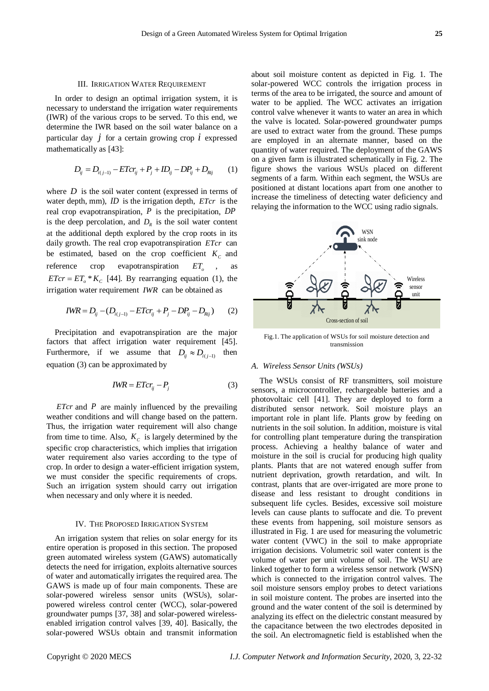#### III. IRRIGATION WATER REQUIREMENT

In order to design an optimal irrigation system, it is necessary to understand the irrigation water requirements (IWR) of the various crops to be served. To this end, we determine the IWR based on the soil water balance on a particular day  $j$  for a certain growing crop  $i$  expressed mathematically as [43]:

$$
D_{ij} = D_{i(j-1)} - E T c r_{ij} + P_j + I D_{ij} - D P_{ij} + D_{Rij}
$$
 (1)

where  $D$  is the soil water content (expressed in terms of water depth, mm), *ID* is the irrigation depth, *ETcr* is the real crop evapotranspiration, *P* is the precipitation, *DP* is the deep percolation, and  $D<sub>R</sub>$  is the soil water content at the additional depth explored by the crop roots in its daily growth. The real crop evapotranspiration *ETcr* can be estimated, based on the crop coefficient  $K_c$  and reference crop evapotranspiration  $ET_o$ , as  $ETcr = ET_0 * K_c$  [44]. By rearranging equation (1), the irrigation water requirement *IWR* can be obtained as

$$
IWR = D_{ij} - (D_{i(j-1)} - ETcr_{ij} + P_j - DP_{ij} - D_{Rij})
$$
 (2)

Precipitation and evapotranspiration are the major factors that affect irrigation water requirement [45]. Furthermore, if we assume that  $D_{ij} \approx D_{i(j-1)}$  then equation (3) can be approximated by

$$
IWR = E T c r_{ij} - P_j \tag{3}
$$

*ETcr* and *P* are mainly influenced by the prevailing weather conditions and will change based on the pattern. Thus, the irrigation water requirement will also change from time to time. Also,  $K_c$  is largely determined by the specific crop characteristics, which implies that irrigation water requirement also varies according to the type of crop. In order to design a water-efficient irrigation system, we must consider the specific requirements of crops. Such an irrigation system should carry out irrigation when necessary and only where it is needed.

#### IV. THE PROPOSED IRRIGATION SYSTEM

An irrigation system that relies on solar energy for its entire operation is proposed in this section. The proposed green automated wireless system (GAWS) automatically detects the need for irrigation, exploits alternative sources of water and automatically irrigates the required area. The GAWS is made up of four main components. These are solar-powered wireless sensor units (WSUs), solarpowered wireless control center (WCC), solar-powered groundwater pumps [37, 38] and solar-powered wirelessenabled irrigation control valves [39, 40]. Basically, the solar-powered WSUs obtain and transmit information about soil moisture content as depicted in Fig. 1. The solar-powered WCC controls the irrigation process in terms of the area to be irrigated, the source and amount of water to be applied. The WCC activates an irrigation control valve whenever it wants to water an area in which the valve is located. Solar-powered groundwater pumps are used to extract water from the ground. These pumps are employed in an alternate manner, based on the quantity of water required. The deployment of the GAWS on a given farm is illustrated schematically in Fig. 2. The figure shows the various WSUs placed on different segments of a farm. Within each segment, the WSUs are positioned at distant locations apart from one another to increase the timeliness of detecting water deficiency and relaying the information to the WCC using radio signals.



Fig.1. The application of WSUs for soil moisture detection and transmission

#### *A. Wireless Sensor Units (WSUs)*

The WSUs consist of RF transmitters, soil moisture sensors, a microcontroller, rechargeable batteries and a photovoltaic cell [41]. They are deployed to form a distributed sensor network. Soil moisture plays an important role in plant life. Plants grow by feeding on nutrients in the soil solution. In addition, moisture is vital for controlling plant temperature during the transpiration process. Achieving a healthy balance of water and moisture in the soil is crucial for producing high quality plants. Plants that are not watered enough suffer from nutrient deprivation, growth retardation, and wilt. In contrast, plants that are over-irrigated are more prone to disease and less resistant to drought conditions in subsequent life cycles. Besides, excessive soil moisture levels can cause plants to suffocate and die. To prevent these events from happening, soil moisture sensors as illustrated in Fig. 1 are used for measuring the volumetric water content (VWC) in the soil to make appropriate irrigation decisions. Volumetric soil water content is the volume of water per unit volume of soil. The WSU are linked together to form a wireless sensor network (WSN) which is connected to the irrigation control valves. The soil moisture sensors employ probes to detect variations in soil moisture content. The probes are inserted into the ground and the water content of the soil is determined by analyzing its effect on the dielectric constant measured by the capacitance between the two electrodes deposited in the soil. An electromagnetic field is established when the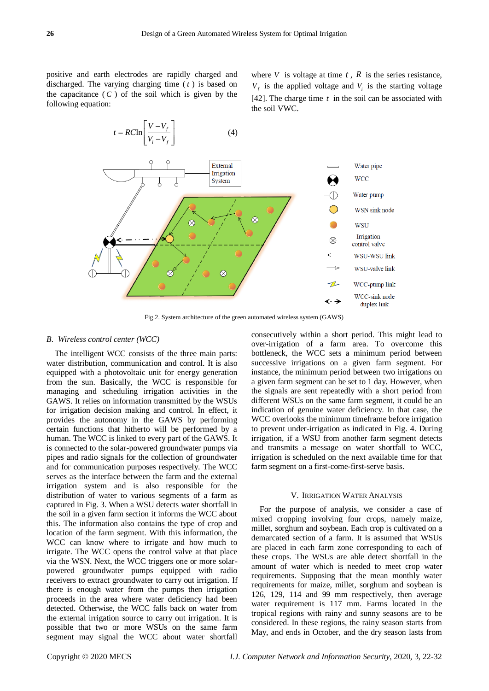positive and earth electrodes are rapidly charged and discharged. The varying charging time ( *t* ) is based on the capacitance  $(C)$  of the soil which is given by the following equation:

where  $V$  is voltage at time  $t$ ,  $R$  is the series resistance,  $V_f$  is the applied voltage and  $V_i$  is the starting voltage [42]. The charge time  $t$  in the soil can be associated with the soil VWC.



Fig.2. System architecture of the green automated wireless system (GAWS)

#### *B. Wireless control center (WCC)*

The intelligent WCC consists of the three main parts: water distribution, communication and control. It is also equipped with a photovoltaic unit for energy generation from the sun. Basically, the WCC is responsible for managing and scheduling irrigation activities in the GAWS. It relies on information transmitted by the WSUs for irrigation decision making and control. In effect, it provides the autonomy in the GAWS by performing certain functions that hitherto will be performed by a human. The WCC is linked to every part of the GAWS. It is connected to the solar-powered groundwater pumps via pipes and radio signals for the collection of groundwater and for communication purposes respectively. The WCC serves as the interface between the farm and the external irrigation system and is also responsible for the distribution of water to various segments of a farm as captured in Fig. 3. When a WSU detects water shortfall in the soil in a given farm section it informs the WCC about this. The information also contains the type of crop and location of the farm segment. With this information, the WCC can know where to irrigate and how much to irrigate. The WCC opens the control valve at that place via the WSN. Next, the WCC triggers one or more solarpowered groundwater pumps equipped with radio receivers to extract groundwater to carry out irrigation. If there is enough water from the pumps then irrigation proceeds in the area where water deficiency had been detected. Otherwise, the WCC falls back on water from the external irrigation source to carry out irrigation. It is possible that two or more WSUs on the same farm segment may signal the WCC about water shortfall

consecutively within a short period. This might lead to over-irrigation of a farm area. To overcome this bottleneck, the WCC sets a minimum period between successive irrigations on a given farm segment. For instance, the minimum period between two irrigations on a given farm segment can be set to 1 day. However, when the signals are sent repeatedly with a short period from different WSUs on the same farm segment, it could be an indication of genuine water deficiency. In that case, the WCC overlooks the minimum timeframe before irrigation to prevent under-irrigation as indicated in Fig. 4. During irrigation, if a WSU from another farm segment detects and transmits a message on water shortfall to WCC, irrigation is scheduled on the next available time for that farm segment on a first-come-first-serve basis.

#### V. IRRIGATION WATER ANALYSIS

For the purpose of analysis, we consider a case of mixed cropping involving four crops, namely maize, millet, sorghum and soybean. Each crop is cultivated on a demarcated section of a farm. It is assumed that WSUs are placed in each farm zone corresponding to each of these crops. The WSUs are able detect shortfall in the amount of water which is needed to meet crop water requirements. Supposing that the mean monthly water requirements for maize, millet, sorghum and soybean is 126, 129, 114 and 99 mm respectively, then average water requirement is 117 mm. Farms located in the tropical regions with rainy and sunny seasons are to be considered. In these regions, the rainy season starts from May, and ends in October, and the dry season lasts from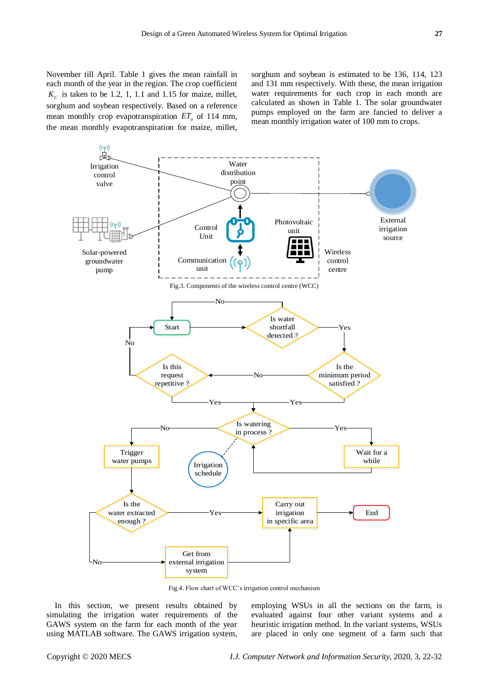sorghum and soybean is estimated to be 136, 114, 123 and 131 mm respectively. With these, the mean irrigation water requirements for each crop in each month are calculated as shown in Table 1. The solar groundwater pumps employed on the farm are fancied to deliver a mean monthly irrigation water of 100 mm to crops.



Fig.4. Flow chart of WCC's irrigation control mechanism

In this section, we present results obtained by simulating the irrigation water requirements of the GAWS system on the farm for each month of the year using MATLAB software. The GAWS irrigation system, employing WSUs in all the sections on the farm, is evaluated against four other variant systems and a heuristic irrigation method. In the variant systems, WSUs are placed in only one segment of a farm such that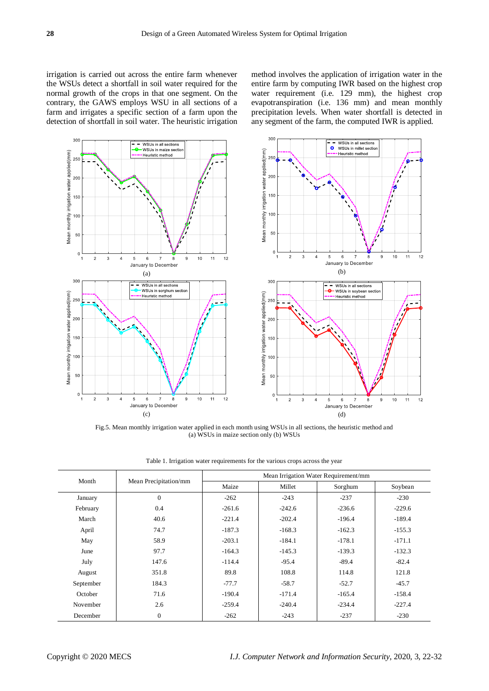irrigation is carried out across the entire farm whenever the WSUs detect a shortfall in soil water required for the normal growth of the crops in that one segment. On the contrary, the GAWS employs WSU in all sections of a farm and irrigates a specific section of a farm upon the detection of shortfall in soil water. The heuristic irrigation

method involves the application of irrigation water in the entire farm by computing IWR based on the highest crop water requirement (i.e. 129 mm), the highest crop evapotranspiration (i.e. 136 mm) and mean monthly precipitation levels. When water shortfall is detected in any segment of the farm, the computed IWR is applied.



Fig.5. Mean monthly irrigation water applied in each month using WSUs in all sections, the heuristic method and (a) WSUs in maize section only (b) WSUs

| Month     | Mean Precipitation/mm | Mean Irrigation Water Requirement/mm |          |          |          |
|-----------|-----------------------|--------------------------------------|----------|----------|----------|
|           |                       | Maize                                | Millet   | Sorghum  | Soybean  |
| January   | $\Omega$              | $-262$                               | $-243$   | $-237$   | $-230$   |
| February  | 0.4                   | $-261.6$                             | $-242.6$ | $-236.6$ | $-229.6$ |
| March     | 40.6                  | $-221.4$                             | $-202.4$ | $-196.4$ | $-189.4$ |
| April     | 74.7                  | $-187.3$                             | $-168.3$ | $-162.3$ | $-155.3$ |
| May       | 58.9                  | $-203.1$                             | $-184.1$ | $-178.1$ | $-171.1$ |
| June      | 97.7                  | $-164.3$                             | $-145.3$ | $-139.3$ | $-132.3$ |
| July      | 147.6                 | $-114.4$                             | $-95.4$  | $-89.4$  | $-82.4$  |
| August    | 351.8                 | 89.8                                 | 108.8    | 114.8    | 121.8    |
| September | 184.3                 | $-77.7$                              | $-58.7$  | $-52.7$  | $-45.7$  |
| October   | 71.6                  | $-190.4$                             | $-171.4$ | $-165.4$ | $-158.4$ |
| November  | 2.6                   | $-259.4$                             | $-240.4$ | $-234.4$ | $-227.4$ |
| December  | $\mathbf{0}$          | $-262$                               | $-243$   | $-237$   | $-230$   |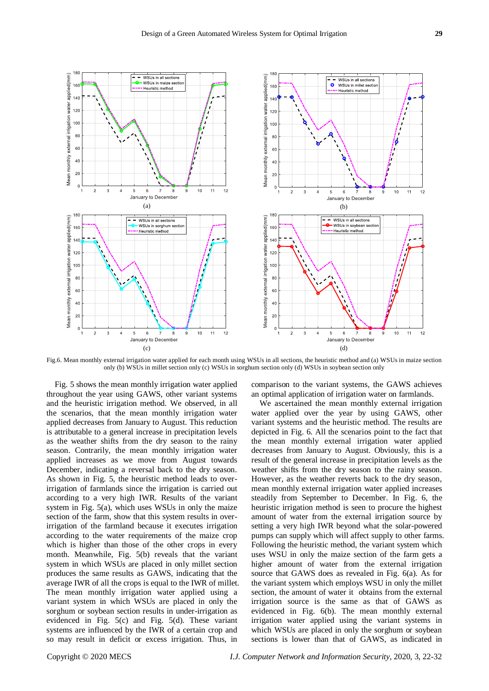

Fig.6. Mean monthly external irrigation water applied for each month using WSUs in all sections, the heuristic method and (a) WSUs in maize section only (b) WSUs in millet section only (c) WSUs in sorghum section only (d) WSUs in soybean section only

Fig. 5 shows the mean monthly irrigation water applied throughout the year using GAWS, other variant systems and the heuristic irrigation method. We observed, in all the scenarios, that the mean monthly irrigation water applied decreases from January to August. This reduction is attributable to a general increase in precipitation levels as the weather shifts from the dry season to the rainy season. Contrarily, the mean monthly irrigation water applied increases as we move from August towards December, indicating a reversal back to the dry season. As shown in Fig. 5, the heuristic method leads to overirrigation of farmlands since the irrigation is carried out according to a very high IWR. Results of the variant system in Fig. 5(a), which uses WSUs in only the maize section of the farm, show that this system results in overirrigation of the farmland because it executes irrigation according to the water requirements of the maize crop which is higher than those of the other crops in every month. Meanwhile, Fig. 5(b) reveals that the variant system in which WSUs are placed in only millet section produces the same results as GAWS, indicating that the average IWR of all the crops is equal to the IWR of millet. The mean monthly irrigation water applied using a variant system in which WSUs are placed in only the sorghum or soybean section results in under-irrigation as evidenced in Fig. 5(c) and Fig. 5(d). These variant systems are influenced by the IWR of a certain crop and so may result in deficit or excess irrigation. Thus, in

comparison to the variant systems, the GAWS achieves an optimal application of irrigation water on farmlands.

We ascertained the mean monthly external irrigation water applied over the year by using GAWS, other variant systems and the heuristic method. The results are depicted in Fig. 6. All the scenarios point to the fact that the mean monthly external irrigation water applied decreases from January to August. Obviously, this is a result of the general increase in precipitation levels as the weather shifts from the dry season to the rainy season. However, as the weather reverts back to the dry season, mean monthly external irrigation water applied increases steadily from September to December. In Fig. 6, the heuristic irrigation method is seen to procure the highest amount of water from the external irrigation source by setting a very high IWR beyond what the solar-powered pumps can supply which will affect supply to other farms. Following the heuristic method, the variant system which uses WSU in only the maize section of the farm gets a higher amount of water from the external irrigation source that GAWS does as revealed in Fig. 6(a). As for the variant system which employs WSU in only the millet section, the amount of water it obtains from the external irrigation source is the same as that of GAWS as evidenced in Fig. 6(b). The mean monthly external irrigation water applied using the variant systems in which WSUs are placed in only the sorghum or soybean sections is lower than that of GAWS, as indicated in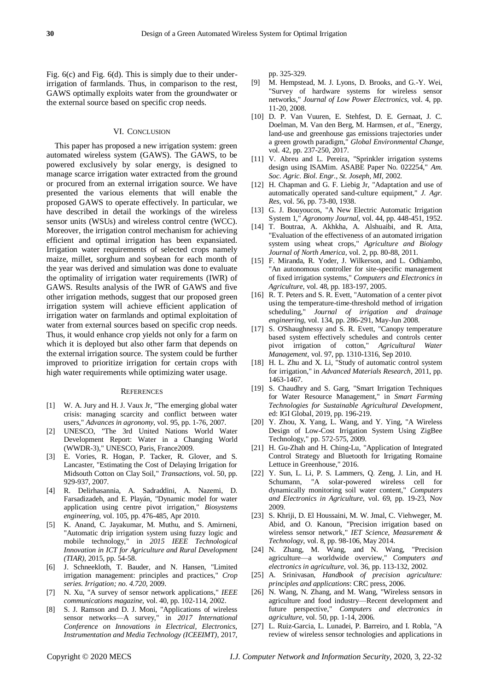Fig. 6(c) and Fig. 6(d). This is simply due to their underirrigation of farmlands. Thus, in comparison to the rest, GAWS optimally exploits water from the groundwater or the external source based on specific crop needs.

#### VI. CONCLUSION

This paper has proposed a new irrigation system: green automated wireless system (GAWS). The GAWS, to be powered exclusively by solar energy, is designed to manage scarce irrigation water extracted from the ground or procured from an external irrigation source. We have presented the various elements that will enable the proposed GAWS to operate effectively. In particular, we have described in detail the workings of the wireless sensor units (WSUs) and wireless control centre (WCC). Moreover, the irrigation control mechanism for achieving efficient and optimal irrigation has been expansiated. Irrigation water requirements of selected crops namely maize, millet, sorghum and soybean for each month of the year was derived and simulation was done to evaluate the optimality of irrigation water requirements (IWR) of GAWS. Results analysis of the IWR of GAWS and five other irrigation methods, suggest that our proposed green irrigation system will achieve efficient application of irrigation water on farmlands and optimal exploitation of water from external sources based on specific crop needs. Thus, it would enhance crop yields not only for a farm on which it is deployed but also other farm that depends on the external irrigation source. The system could be further improved to prioritize irrigation for certain crops with high water requirements while optimizing water usage.

#### **REFERENCES**

- [1] W. A. Jury and H. J. Vaux Jr, "The emerging global water crisis: managing scarcity and conflict between water users," *Advances in agronomy,* vol. 95, pp. 1-76, 2007.
- [2] UNESCO, "The 3rd United Nations World Water Development Report: Water in a Changing World (WWDR-3)," UNESCO, Paris, France2009.
- [3] E. Vories, R. Hogan, P. Tacker, R. Glover, and S. Lancaster, "Estimating the Cost of Delaying Irrigation for Midsouth Cotton on Clay Soil," *Transactions,* vol. 50, pp. 929-937, 2007.
- [4] R. Delirhasannia, A. Sadraddini, A. Nazemi, D. Farsadizadeh, and E. Playán, "Dynamic model for water application using centre pivot irrigation," *Biosystems engineering,* vol. 105, pp. 476-485, Apr 2010.
- [5] K. Anand, C. Jayakumar, M. Muthu, and S. Amirneni, "Automatic drip irrigation system using fuzzy logic and mobile technology," in *2015 IEEE Technological Innovation in ICT for Agriculture and Rural Development (TIAR)*, 2015, pp. 54-58.
- [6] J. Schneekloth, T. Bauder, and N. Hansen, "Limited irrigation management: principles and practices," *Crop series. Irrigation; no. 4.720,* 2009.
- [7] N. Xu, "A survey of sensor network applications," *IEEE communications magazine,* vol. 40, pp. 102-114, 2002.
- [8] S. J. Ramson and D. J. Moni, "Applications of wireless sensor networks—A survey," in *2017 International Conference on Innovations in Electrical, Electronics, Instrumentation and Media Technology (ICEEIMT)*, 2017,

pp. 325-329.

- [9] M. Hempstead, M. J. Lyons, D. Brooks, and G.-Y. Wei, "Survey of hardware systems for wireless sensor networks," *Journal of Low Power Electronics,* vol. 4, pp. 11-20, 2008.
- [10] D. P. Van Vuuren, E. Stehfest, D. E. Gernaat, J. C. Doelman, M. Van den Berg, M. Harmsen*, et al.*, "Energy, land-use and greenhouse gas emissions trajectories under a green growth paradigm," *Global Environmental Change,*  vol. 42, pp. 237-250, 2017.
- [11] V. Abreu and L. Pereira, "Sprinkler irrigation systems design using ISAMim. ASABE Paper No. 022254," *Am. Soc. Agric. Biol. Engr., St. Joseph, MI,* 2002.
- [12] H. Chapman and G. F. Liebig Jr, "Adaptation and use of automatically operated sand-culture equipment," *J. Agr. Res,* vol. 56, pp. 73-80, 1938.
- [13] G. J. Bouyoucos, "A New Electric Automatic Irrigation System 1," *Agronomy Journal,* vol. 44, pp. 448-451, 1952.
- [14] T. Boutraa, A. Akhkha, A. Alshuaibi, and R. Atta, "Evaluation of the effectiveness of an automated irrigation system using wheat crops," *Agriculture and Biology Journal of North America,* vol. 2, pp. 80-88, 2011.
- [15] F. Miranda, R. Yoder, J. Wilkerson, and L. Odhiambo, "An autonomous controller for site-specific management of fixed irrigation systems," *Computers and Electronics in Agriculture,* vol. 48, pp. 183-197, 2005.
- [16] R. T. Peters and S. R. Evett, "Automation of a center pivot using the temperature-time-threshold method of irrigation scheduling," *Journal of irrigation and drainage engineering,* vol. 134, pp. 286-291, May-Jun 2008.
- [17] S. O'Shaughnessy and S. R. Evett, "Canopy temperature based system effectively schedules and controls center pivot irrigation of cotton," *Agricultural Water Management,* vol. 97, pp. 1310-1316, Sep 2010.
- [18] H. L. Zhu and X. Li, "Study of automatic control system for irrigation," in *Advanced Materials Research*, 2011, pp. 1463-1467.
- [19] S. Chaudhry and S. Garg, "Smart Irrigation Techniques for Water Resource Management," in *Smart Farming Technologies for Sustainable Agricultural Development*, ed: IGI Global, 2019, pp. 196-219.
- [20] Y. Zhou, X. Yang, L. Wang, and Y. Ying, "A Wireless Design of Low-Cost Irrigation System Using ZigBee Technology," pp. 572-575, 2009.
- [21] H. Gu-Zhah and H. Ching-Lu, "Application of Integrated Control Strategy and Bluetooth for Irrigating Romaine Lettuce in Greenhouse," 2016.
- [22] Y. Sun, L. Li, P. S. Lammers, Q. Zeng, J. Lin, and H. Schumann, "A solar-powered wireless cell for dynamically monitoring soil water content," *Computers and Electronics in Agriculture,* vol. 69, pp. 19-23, Nov 2009.
- [23] S. Khriji, D. El Houssaini, M. W. Jmal, C. Viehweger, M. Abid, and O. Kanoun, "Precision irrigation based on wireless sensor network," *IET Science, Measurement & Technology,* vol. 8, pp. 98-106, May 2014.
- [24] N. Zhang, M. Wang, and N. Wang, "Precision agriculture—a worldwide overview," *Computers and electronics in agriculture,* vol. 36, pp. 113-132, 2002.
- [25] A. Srinivasan, *Handbook of precision agriculture: principles and applications*: CRC press, 2006.
- [26] N. Wang, N. Zhang, and M. Wang, "Wireless sensors in agriculture and food industry—Recent development and future perspective," *Computers and electronics in agriculture,* vol. 50, pp. 1-14, 2006.
- [27] L. Ruiz-Garcia, L. Lunadei, P. Barreiro, and I. Robla, "A review of wireless sensor technologies and applications in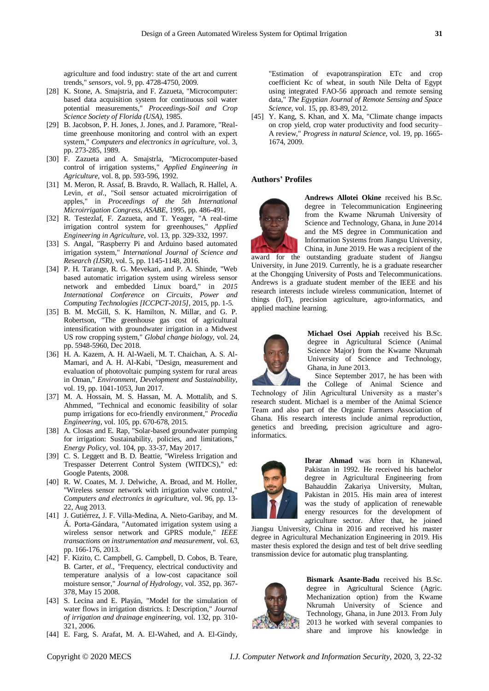agriculture and food industry: state of the art and current trends," *sensors,* vol. 9, pp. 4728-4750, 2009.

- [28] K. Stone, A. Smajstria, and F. Zazueta, "Microcomputer: based data acquisition system for continuous soil water potential measurements," *Proceedings-Soil and Crop Science Society of Florida (USA),* 1985.
- [29] B. Jacobson, P. H. Jones, J. Jones, and J. Paramore, "Realtime greenhouse monitoring and control with an expert system," *Computers and electronics in agriculture,* vol. 3, pp. 273-285, 1989.
- [30] F. Zazueta and A. Smajstrla, "Microcomputer-based control of irrigation systems," *Applied Engineering in Agriculture,* vol. 8, pp. 593-596, 1992.
- [31] M. Meron, R. Assaf, B. Bravdo, R. Wallach, R. Hallel, A. Levin*, et al.*, "Soil sensor actuated microirrigation of apples," in *Proceedings of the 5th International Microirrigation Congress, ASABE*, 1995, pp. 486-491.
- [32] R. Testezlaf, F. Zazueta, and T. Yeager, "A real-time irrigation control system for greenhouses," *Applied Engineering in Agriculture,* vol. 13, pp. 329-332, 1997.
- [33] S. Angal, "Raspberry Pi and Arduino based automated irrigation system," *International Journal of Science and Research (IJSR),* vol. 5, pp. 1145-1148, 2016.
- [34] P. H. Tarange, R. G. Mevekari, and P. A. Shinde, "Web based automatic irrigation system using wireless sensor network and embedded Linux board," in *2015 International Conference on Circuits, Power and Computing Technologies [ICCPCT-2015]*, 2015, pp. 1-5.
- [35] B. M. McGill, S. K. Hamilton, N. Millar, and G. P. Robertson, "The greenhouse gas cost of agricultural intensification with groundwater irrigation in a Midwest US row cropping system," *Global change biology,* vol. 24, pp. 5948-5960, Dec 2018.
- [36] H. A. Kazem, A. H. Al-Waeli, M. T. Chaichan, A. S. Al-Mamari, and A. H. Al-Kabi, "Design, measurement and evaluation of photovoltaic pumping system for rural areas in Oman," *Environment, Development and Sustainability,*  vol. 19, pp. 1041-1053, Jun 2017.
- [37] M. A. Hossain, M. S. Hassan, M. A. Mottalib, and S. Ahmmed, "Technical and economic feasibility of solar pump irrigations for eco-friendly environment," *Procedia Engineering,* vol. 105, pp. 670-678, 2015.
- [38] A. Closas and E. Rap, "Solar-based groundwater pumping for irrigation: Sustainability, policies, and limitations," *Energy Policy,* vol. 104, pp. 33-37, May 2017.
- [39] C. S. Leggett and B. D. Beattie, "Wireless Irrigation and Trespasser Deterrent Control System (WITDCS)," ed: Google Patents, 2008.
- [40] R. W. Coates, M. J. Delwiche, A. Broad, and M. Holler, "Wireless sensor network with irrigation valve control," *Computers and electronics in agriculture,* vol. 96, pp. 13- 22, Aug 2013.
- [41] J. Gutiérrez, J. F. Villa-Medina, A. Nieto-Garibay, and M. Á. Porta-Gándara, "Automated irrigation system using a wireless sensor network and GPRS module," *IEEE transactions on instrumentation and measurement,* vol. 63, pp. 166-176, 2013.
- [42] F. Kizito, C. Campbell, G. Campbell, D. Cobos, B. Teare, B. Carter*, et al.*, "Frequency, electrical conductivity and temperature analysis of a low-cost capacitance soil moisture sensor," *Journal of Hydrology,* vol. 352, pp. 367- 378, May 15 2008.
- [43] S. Lecina and E. Playán, "Model for the simulation of water flows in irrigation districts. I: Description," *Journal of irrigation and drainage engineering,* vol. 132, pp. 310- 321, 2006.
- [44] E. Farg, S. Arafat, M. A. El-Wahed, and A. El-Gindy,

"Estimation of evapotranspiration ETc and crop coefficient Kc of wheat, in south Nile Delta of Egypt using integrated FAO-56 approach and remote sensing data," *The Egyptian Journal of Remote Sensing and Space Science,* vol. 15, pp. 83-89, 2012.

[45] Y. Kang, S. Khan, and X. Ma, "Climate change impacts on crop yield, crop water productivity and food security– A review," *Progress in natural Science,* vol. 19, pp. 1665- 1674, 2009.

#### **Authors' Profiles**



**Andrews Allotei Okine** received his B.Sc. degree in Telecommunication Engineering from the Kwame Nkrumah University of Science and Technology, Ghana, in June 2014 and the MS degree in Communication and Information Systems from Jiangsu University, China, in June 2019. He was a recipient of the

award for the outstanding graduate student of Jiangsu University, in June 2019. Currently, he is a graduate researcher at the Chongqing University of Posts and Telecommunications. Andrews is a graduate student member of the IEEE and his research interests include wireless communication, Internet of things (IoT), precision agriculture, agro-informatics, and applied machine learning.



**Michael Osei Appiah** received his B.Sc. degree in Agricultural Science (Animal Science Major) from the Kwame Nkrumah University of Science and Technology, Ghana, in June 2013.

Since September 2017, he has been with the College of Animal Science and

Technology of Jilin Agricultural University as a master's research student. Michael is a member of the Animal Science Team and also part of the Organic Farmers Association of Ghana. His research interests include animal reproduction, genetics and breeding, precision agriculture and agroinformatics.



**Ibrar Ahmad** was born in Khanewal, Pakistan in 1992. He received his bachelor degree in Agricultural Engineering from Bahauddin Zakariya University, Multan, Pakistan in 2015. His main area of interest was the study of application of renewable energy resources for the development of agriculture sector. After that, he joined

Jiangsu University, China in 2016 and received his master degree in Agricultural Mechanization Engineering in 2019. His master thesis explored the design and test of belt drive seedling transmission device for automatic plug transplanting.



**Bismark Asante-Badu** received his B.Sc. degree in Agricultural Science (Agric. Mechanization option) from the Kwame Nkrumah University of Science and Technology, Ghana, in June 2013. From July 2013 he worked with several companies to share and improve his knowledge in